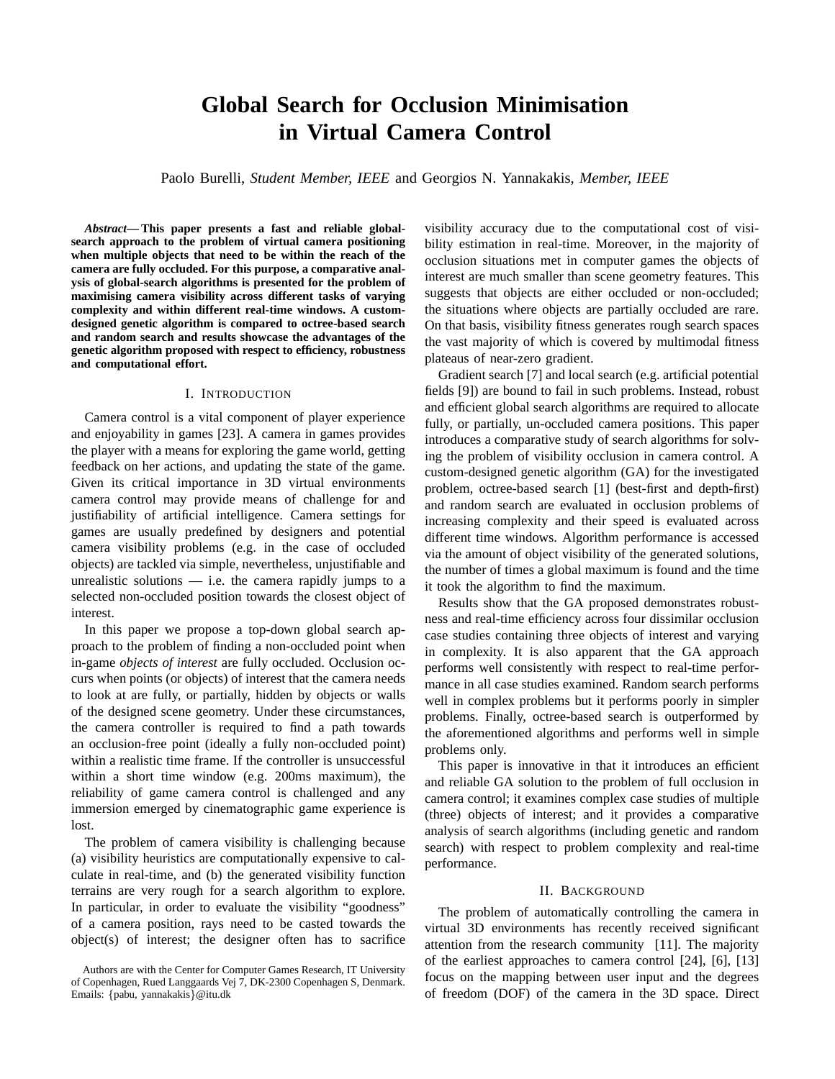# **Global Search for Occlusion Minimisation in Virtual Camera Control**

Paolo Burelli, *Student Member, IEEE* and Georgios N. Yannakakis, *Member, IEEE*

*Abstract***— This paper presents a fast and reliable globalsearch approach to the problem of virtual camera positioning when multiple objects that need to be within the reach of the camera are fully occluded. For this purpose, a comparative analysis of global-search algorithms is presented for the problem of maximising camera visibility across different tasks of varying complexity and within different real-time windows. A customdesigned genetic algorithm is compared to octree-based search and random search and results showcase the advantages of the genetic algorithm proposed with respect to efficiency, robustness and computational effort.**

#### I. INTRODUCTION

Camera control is a vital component of player experience and enjoyability in games [23]. A camera in games provides the player with a means for exploring the game world, getting feedback on her actions, and updating the state of the game. Given its critical importance in 3D virtual environments camera control may provide means of challenge for and justifiability of artificial intelligence. Camera settings for games are usually predefined by designers and potential camera visibility problems (e.g. in the case of occluded objects) are tackled via simple, nevertheless, unjustifiable and unrealistic solutions  $-$  i.e. the camera rapidly jumps to a selected non-occluded position towards the closest object of interest.

In this paper we propose a top-down global search approach to the problem of finding a non-occluded point when in-game *objects of interest* are fully occluded. Occlusion occurs when points (or objects) of interest that the camera needs to look at are fully, or partially, hidden by objects or walls of the designed scene geometry. Under these circumstances, the camera controller is required to find a path towards an occlusion-free point (ideally a fully non-occluded point) within a realistic time frame. If the controller is unsuccessful within a short time window (e.g. 200ms maximum), the reliability of game camera control is challenged and any immersion emerged by cinematographic game experience is lost.

The problem of camera visibility is challenging because (a) visibility heuristics are computationally expensive to calculate in real-time, and (b) the generated visibility function terrains are very rough for a search algorithm to explore. In particular, in order to evaluate the visibility "goodness" of a camera position, rays need to be casted towards the object(s) of interest; the designer often has to sacrifice

visibility accuracy due to the computational cost of visibility estimation in real-time. Moreover, in the majority of occlusion situations met in computer games the objects of interest are much smaller than scene geometry features. This suggests that objects are either occluded or non-occluded; the situations where objects are partially occluded are rare. On that basis, visibility fitness generates rough search spaces the vast majority of which is covered by multimodal fitness plateaus of near-zero gradient.

Gradient search [7] and local search (e.g. artificial potential fields [9]) are bound to fail in such problems. Instead, robust and efficient global search algorithms are required to allocate fully, or partially, un-occluded camera positions. This paper introduces a comparative study of search algorithms for solving the problem of visibility occlusion in camera control. A custom-designed genetic algorithm (GA) for the investigated problem, octree-based search [1] (best-first and depth-first) and random search are evaluated in occlusion problems of increasing complexity and their speed is evaluated across different time windows. Algorithm performance is accessed via the amount of object visibility of the generated solutions, the number of times a global maximum is found and the time it took the algorithm to find the maximum.

Results show that the GA proposed demonstrates robustness and real-time efficiency across four dissimilar occlusion case studies containing three objects of interest and varying in complexity. It is also apparent that the GA approach performs well consistently with respect to real-time performance in all case studies examined. Random search performs well in complex problems but it performs poorly in simpler problems. Finally, octree-based search is outperformed by the aforementioned algorithms and performs well in simple problems only.

This paper is innovative in that it introduces an efficient and reliable GA solution to the problem of full occlusion in camera control; it examines complex case studies of multiple (three) objects of interest; and it provides a comparative analysis of search algorithms (including genetic and random search) with respect to problem complexity and real-time performance.

## II. BACKGROUND

The problem of automatically controlling the camera in virtual 3D environments has recently received significant attention from the research community [11]. The majority of the earliest approaches to camera control [24], [6], [13] focus on the mapping between user input and the degrees of freedom (DOF) of the camera in the 3D space. Direct

Authors are with the Center for Computer Games Research, IT University of Copenhagen, Rued Langgaards Vej 7, DK-2300 Copenhagen S, Denmark. Emails: {pabu, yannakakis}@itu.dk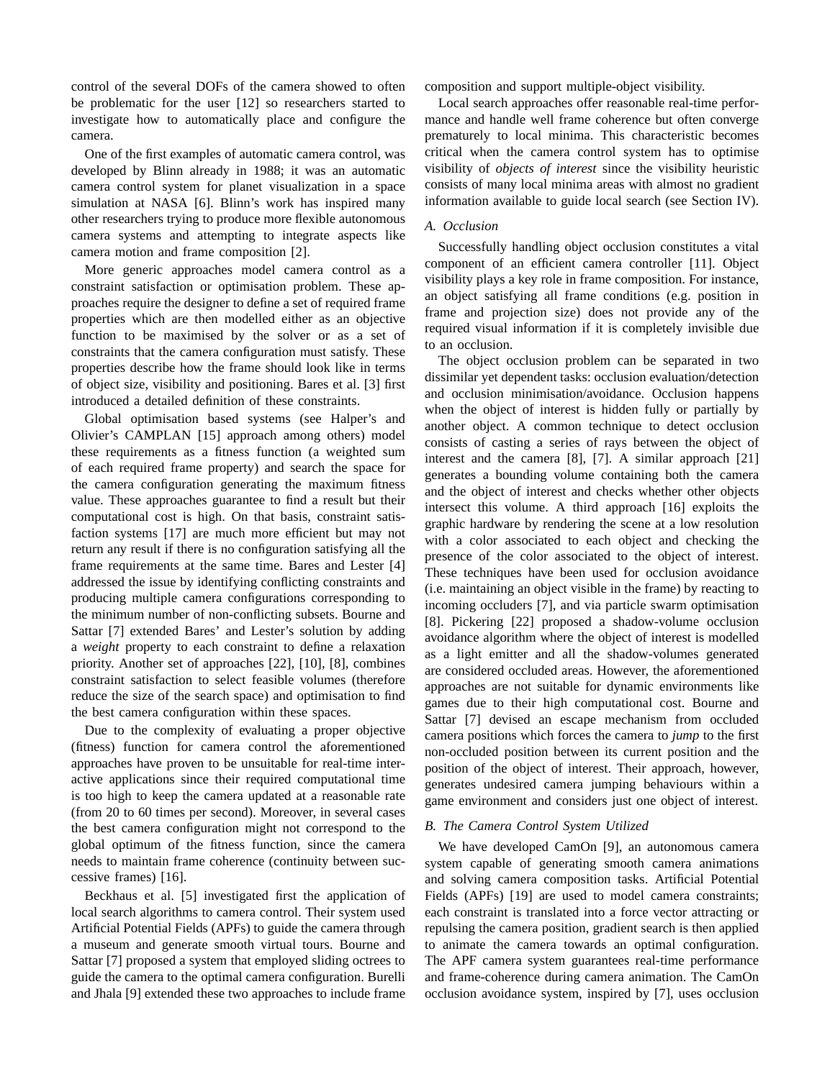control of the several DOFs of the camera showed to often be problematic for the user [12] so researchers started to investigate how to automatically place and configure the camera.

One of the first examples of automatic camera control, was developed by Blinn already in 1988; it was an automatic camera control system for planet visualization in a space simulation at NASA [6]. Blinn's work has inspired many other researchers trying to produce more flexible autonomous camera systems and attempting to integrate aspects like camera motion and frame composition [2].

More generic approaches model camera control as a constraint satisfaction or optimisation problem. These approaches require the designer to define a set of required frame properties which are then modelled either as an objective function to be maximised by the solver or as a set of constraints that the camera configuration must satisfy. These properties describe how the frame should look like in terms of object size, visibility and positioning. Bares et al. [3] first introduced a detailed definition of these constraints.

Global optimisation based systems (see Halper's and Olivier's CAMPLAN [15] approach among others) model these requirements as a fitness function (a weighted sum of each required frame property) and search the space for the camera configuration generating the maximum fitness value. These approaches guarantee to find a result but their computational cost is high. On that basis, constraint satisfaction systems [17] are much more efficient but may not return any result if there is no configuration satisfying all the frame requirements at the same time. Bares and Lester [4] addressed the issue by identifying conflicting constraints and producing multiple camera configurations corresponding to the minimum number of non-conflicting subsets. Bourne and Sattar [7] extended Bares' and Lester's solution by adding a *weight* property to each constraint to define a relaxation priority. Another set of approaches [22], [10], [8], combines constraint satisfaction to select feasible volumes (therefore reduce the size of the search space) and optimisation to find the best camera configuration within these spaces.

Due to the complexity of evaluating a proper objective (fitness) function for camera control the aforementioned approaches have proven to be unsuitable for real-time interactive applications since their required computational time is too high to keep the camera updated at a reasonable rate (from 20 to 60 times per second). Moreover, in several cases the best camera configuration might not correspond to the global optimum of the fitness function, since the camera needs to maintain frame coherence (continuity between successive frames) [16].

Beckhaus et al. [5] investigated first the application of local search algorithms to camera control. Their system used Artificial Potential Fields (APFs) to guide the camera through a museum and generate smooth virtual tours. Bourne and Sattar [7] proposed a system that employed sliding octrees to guide the camera to the optimal camera configuration. Burelli and Jhala [9] extended these two approaches to include frame

composition and support multiple-object visibility.

Local search approaches offer reasonable real-time performance and handle well frame coherence but often converge prematurely to local minima. This characteristic becomes critical when the camera control system has to optimise visibility of *objects of interest* since the visibility heuristic consists of many local minima areas with almost no gradient information available to guide local search (see Section IV).

# *A. Occlusion*

Successfully handling object occlusion constitutes a vital component of an efficient camera controller [11]. Object visibility plays a key role in frame composition. For instance, an object satisfying all frame conditions (e.g. position in frame and projection size) does not provide any of the required visual information if it is completely invisible due to an occlusion.

The object occlusion problem can be separated in two dissimilar yet dependent tasks: occlusion evaluation/detection and occlusion minimisation/avoidance. Occlusion happens when the object of interest is hidden fully or partially by another object. A common technique to detect occlusion consists of casting a series of rays between the object of interest and the camera [8], [7]. A similar approach [21] generates a bounding volume containing both the camera and the object of interest and checks whether other objects intersect this volume. A third approach [16] exploits the graphic hardware by rendering the scene at a low resolution with a color associated to each object and checking the presence of the color associated to the object of interest. These techniques have been used for occlusion avoidance (i.e. maintaining an object visible in the frame) by reacting to incoming occluders [7], and via particle swarm optimisation [8]. Pickering [22] proposed a shadow-volume occlusion avoidance algorithm where the object of interest is modelled as a light emitter and all the shadow-volumes generated are considered occluded areas. However, the aforementioned approaches are not suitable for dynamic environments like games due to their high computational cost. Bourne and Sattar [7] devised an escape mechanism from occluded camera positions which forces the camera to *jump* to the first non-occluded position between its current position and the position of the object of interest. Their approach, however, generates undesired camera jumping behaviours within a game environment and considers just one object of interest.

## *B. The Camera Control System Utilized*

We have developed CamOn [9], an autonomous camera system capable of generating smooth camera animations and solving camera composition tasks. Artificial Potential Fields (APFs) [19] are used to model camera constraints; each constraint is translated into a force vector attracting or repulsing the camera position, gradient search is then applied to animate the camera towards an optimal configuration. The APF camera system guarantees real-time performance and frame-coherence during camera animation. The CamOn occlusion avoidance system, inspired by [7], uses occlusion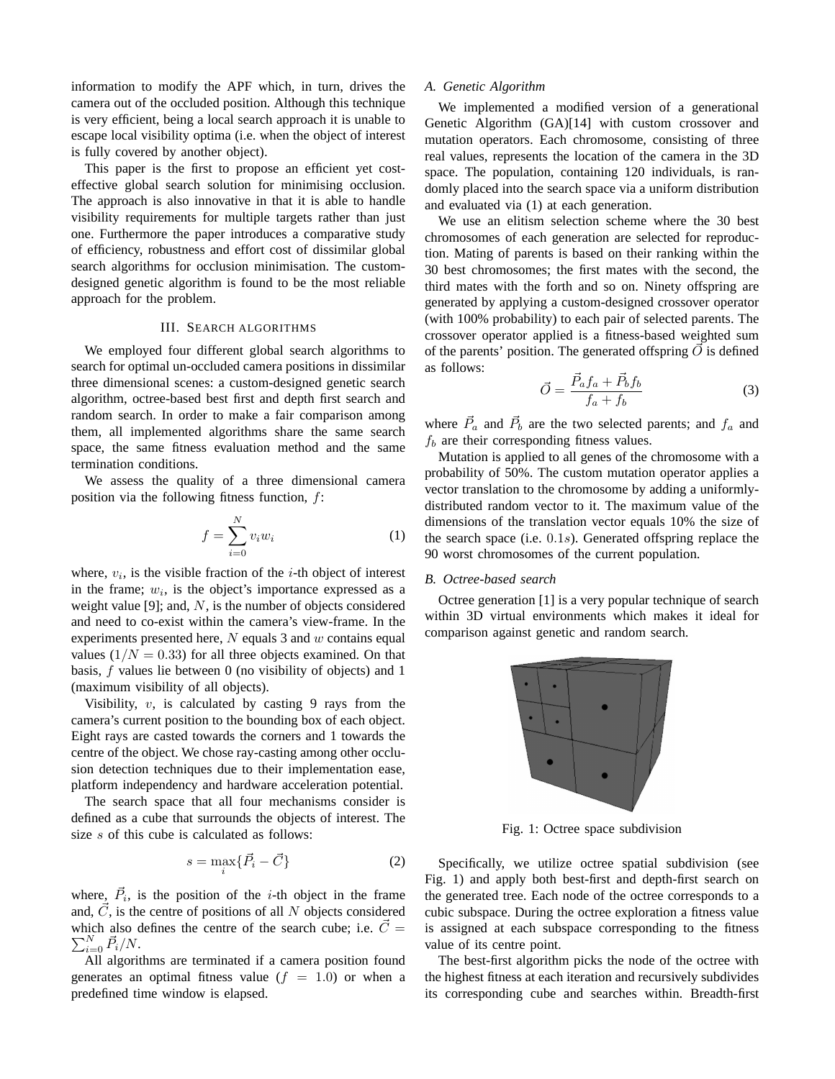information to modify the APF which, in turn, drives the camera out of the occluded position. Although this technique is very efficient, being a local search approach it is unable to escape local visibility optima (i.e. when the object of interest is fully covered by another object).

This paper is the first to propose an efficient yet costeffective global search solution for minimising occlusion. The approach is also innovative in that it is able to handle visibility requirements for multiple targets rather than just one. Furthermore the paper introduces a comparative study of efficiency, robustness and effort cost of dissimilar global search algorithms for occlusion minimisation. The customdesigned genetic algorithm is found to be the most reliable approach for the problem.

## III. SEARCH ALGORITHMS

We employed four different global search algorithms to search for optimal un-occluded camera positions in dissimilar three dimensional scenes: a custom-designed genetic search algorithm, octree-based best first and depth first search and random search. In order to make a fair comparison among them, all implemented algorithms share the same search space, the same fitness evaluation method and the same termination conditions.

We assess the quality of a three dimensional camera position via the following fitness function,  $f$ :

$$
f = \sum_{i=0}^{N} v_i w_i \tag{1}
$$

where,  $v_i$ , is the visible fraction of the *i*-th object of interest in the frame;  $w_i$ , is the object's importance expressed as a weight value [9]; and,  $N$ , is the number of objects considered and need to co-exist within the camera's view-frame. In the experiments presented here,  $N$  equals 3 and  $w$  contains equal values  $(1/N = 0.33)$  for all three objects examined. On that basis, f values lie between 0 (no visibility of objects) and 1 (maximum visibility of all objects).

Visibility,  $v$ , is calculated by casting 9 rays from the camera's current position to the bounding box of each object. Eight rays are casted towards the corners and 1 towards the centre of the object. We chose ray-casting among other occlusion detection techniques due to their implementation ease, platform independency and hardware acceleration potential.

The search space that all four mechanisms consider is defined as a cube that surrounds the objects of interest. The size s of this cube is calculated as follows:

$$
s = \max_{i} \{ \vec{P}_i - \vec{C} \}
$$
 (2)

where,  $\vec{P}_i$ , is the position of the *i*-th object in the frame and,  $\vec{C}$ , is the centre of positions of all N objects considered which also defines the centre of the search cube; i.e.  $\vec{C} =$  $\sum_{i=0}^N \vec{P}_i/N$ .

All algorithms are terminated if a camera position found generates an optimal fitness value  $(f = 1.0)$  or when a predefined time window is elapsed.

## *A. Genetic Algorithm*

We implemented a modified version of a generational Genetic Algorithm (GA)[14] with custom crossover and mutation operators. Each chromosome, consisting of three real values, represents the location of the camera in the 3D space. The population, containing 120 individuals, is randomly placed into the search space via a uniform distribution and evaluated via (1) at each generation.

We use an elitism selection scheme where the 30 best chromosomes of each generation are selected for reproduction. Mating of parents is based on their ranking within the 30 best chromosomes; the first mates with the second, the third mates with the forth and so on. Ninety offspring are generated by applying a custom-designed crossover operator (with 100% probability) to each pair of selected parents. The crossover operator applied is a fitness-based weighted sum of the parents' position. The generated offspring  $\vec{O}$  is defined as follows:

$$
\vec{O} = \frac{\vec{P}_a f_a + \vec{P}_b f_b}{f_a + f_b} \tag{3}
$$

where  $\vec{P}_a$  and  $\vec{P}_b$  are the two selected parents; and  $f_a$  and  $f<sub>b</sub>$  are their corresponding fitness values.

Mutation is applied to all genes of the chromosome with a probability of 50%. The custom mutation operator applies a vector translation to the chromosome by adding a uniformlydistributed random vector to it. The maximum value of the dimensions of the translation vector equals 10% the size of the search space (i.e. 0.1s). Generated offspring replace the 90 worst chromosomes of the current population.

## *B. Octree-based search*

Octree generation [1] is a very popular technique of search within 3D virtual environments which makes it ideal for comparison against genetic and random search.



Fig. 1: Octree space subdivision

Specifically, we utilize octree spatial subdivision (see Fig. 1) and apply both best-first and depth-first search on the generated tree. Each node of the octree corresponds to a cubic subspace. During the octree exploration a fitness value is assigned at each subspace corresponding to the fitness value of its centre point.

The best-first algorithm picks the node of the octree with the highest fitness at each iteration and recursively subdivides its corresponding cube and searches within. Breadth-first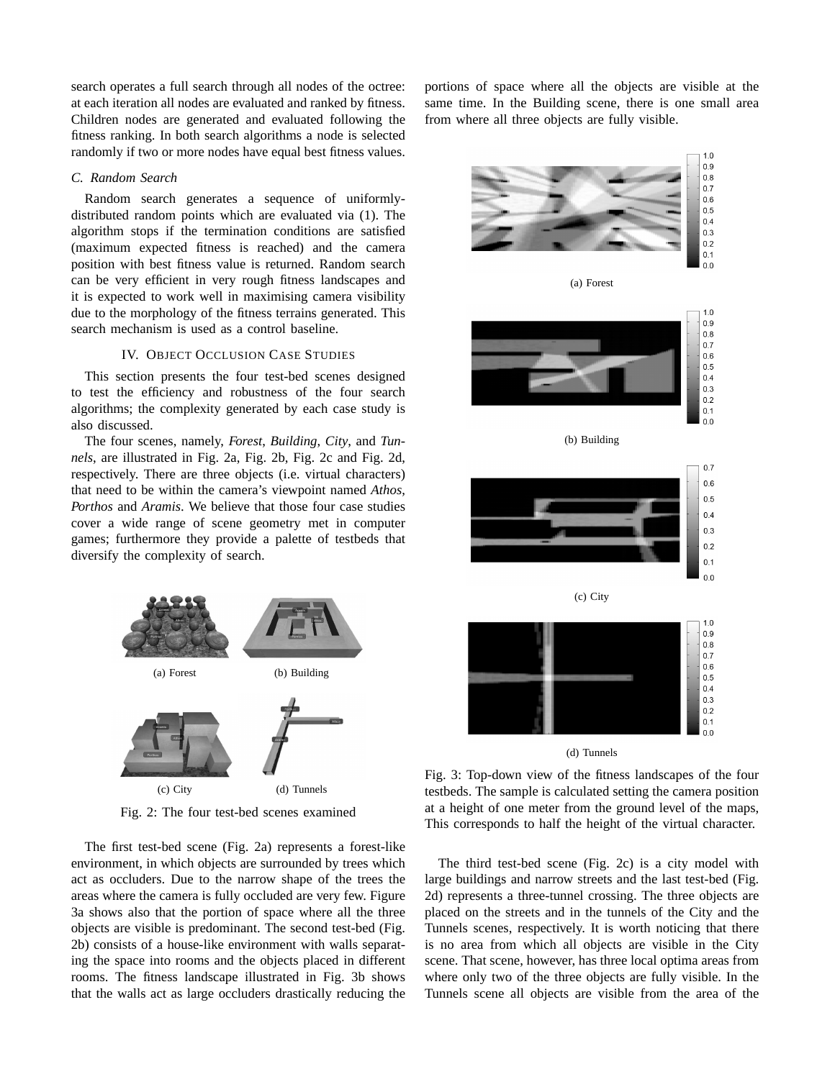search operates a full search through all nodes of the octree: at each iteration all nodes are evaluated and ranked by fitness. Children nodes are generated and evaluated following the fitness ranking. In both search algorithms a node is selected randomly if two or more nodes have equal best fitness values.

## *C. Random Search*

Random search generates a sequence of uniformlydistributed random points which are evaluated via (1). The algorithm stops if the termination conditions are satisfied (maximum expected fitness is reached) and the camera position with best fitness value is returned. Random search can be very efficient in very rough fitness landscapes and it is expected to work well in maximising camera visibility due to the morphology of the fitness terrains generated. This search mechanism is used as a control baseline.

### IV. OBJECT OCCLUSION CASE STUDIES

This section presents the four test-bed scenes designed to test the efficiency and robustness of the four search algorithms; the complexity generated by each case study is also discussed.

The four scenes, namely, *Forest*, *Building*, *City*, and *Tunnels*, are illustrated in Fig. 2a, Fig. 2b, Fig. 2c and Fig. 2d, respectively. There are three objects (i.e. virtual characters) that need to be within the camera's viewpoint named *Athos*, *Porthos* and *Aramis*. We believe that those four case studies cover a wide range of scene geometry met in computer games; furthermore they provide a palette of testbeds that diversify the complexity of search.



Fig. 2: The four test-bed scenes examined

The first test-bed scene (Fig. 2a) represents a forest-like environment, in which objects are surrounded by trees which act as occluders. Due to the narrow shape of the trees the areas where the camera is fully occluded are very few. Figure 3a shows also that the portion of space where all the three objects are visible is predominant. The second test-bed (Fig. 2b) consists of a house-like environment with walls separating the space into rooms and the objects placed in different rooms. The fitness landscape illustrated in Fig. 3b shows that the walls act as large occluders drastically reducing the

portions of space where all the objects are visible at the same time. In the Building scene, there is one small area from where all three objects are fully visible.



(d) Tunnels

Fig. 3: Top-down view of the fitness landscapes of the four testbeds. The sample is calculated setting the camera position at a height of one meter from the ground level of the maps, This corresponds to half the height of the virtual character.

The third test-bed scene (Fig. 2c) is a city model with large buildings and narrow streets and the last test-bed (Fig. 2d) represents a three-tunnel crossing. The three objects are placed on the streets and in the tunnels of the City and the Tunnels scenes, respectively. It is worth noticing that there is no area from which all objects are visible in the City scene. That scene, however, has three local optima areas from where only two of the three objects are fully visible. In the Tunnels scene all objects are visible from the area of the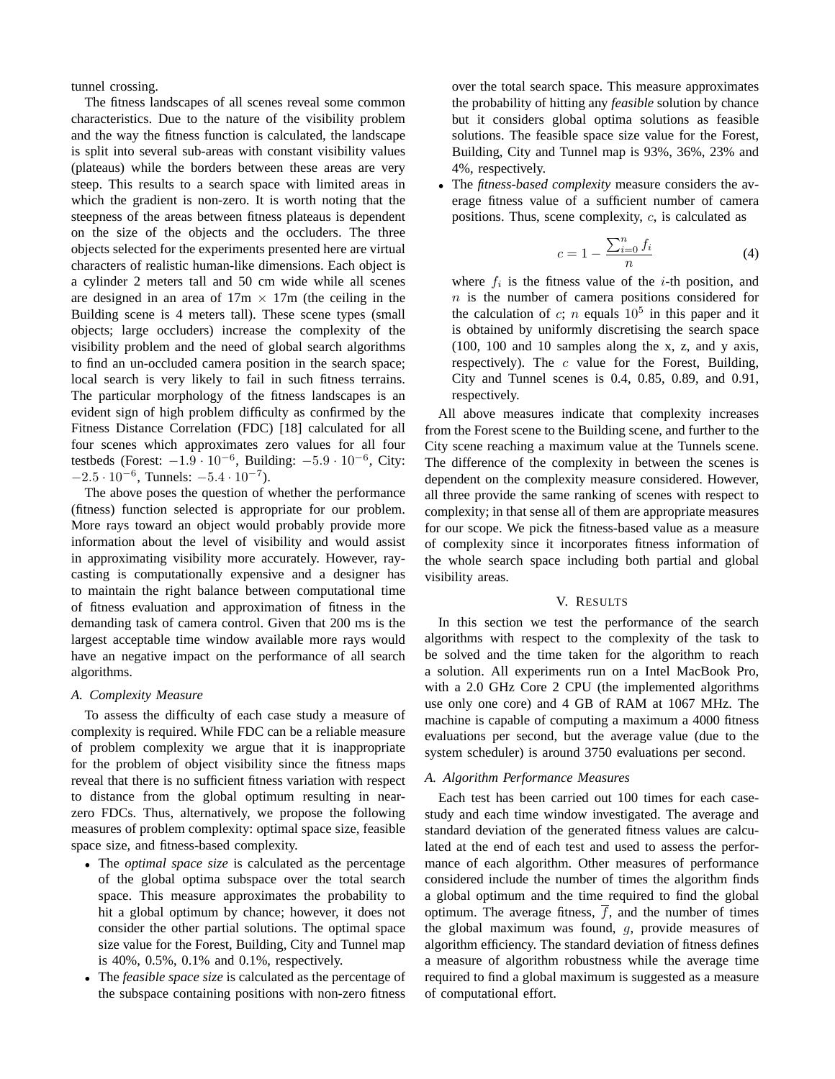tunnel crossing.

The fitness landscapes of all scenes reveal some common characteristics. Due to the nature of the visibility problem and the way the fitness function is calculated, the landscape is split into several sub-areas with constant visibility values (plateaus) while the borders between these areas are very steep. This results to a search space with limited areas in which the gradient is non-zero. It is worth noting that the steepness of the areas between fitness plateaus is dependent on the size of the objects and the occluders. The three objects selected for the experiments presented here are virtual characters of realistic human-like dimensions. Each object is a cylinder 2 meters tall and 50 cm wide while all scenes are designed in an area of  $17m \times 17m$  (the ceiling in the Building scene is 4 meters tall). These scene types (small objects; large occluders) increase the complexity of the visibility problem and the need of global search algorithms to find an un-occluded camera position in the search space; local search is very likely to fail in such fitness terrains. The particular morphology of the fitness landscapes is an evident sign of high problem difficulty as confirmed by the Fitness Distance Correlation (FDC) [18] calculated for all four scenes which approximates zero values for all four testbeds (Forest:  $-1.9 \cdot 10^{-6}$ , Building:  $-5.9 \cdot 10^{-6}$ , City:  $-2.5 \cdot 10^{-6}$ , Tunnels:  $-5.4 \cdot 10^{-7}$ ).

The above poses the question of whether the performance (fitness) function selected is appropriate for our problem. More rays toward an object would probably provide more information about the level of visibility and would assist in approximating visibility more accurately. However, raycasting is computationally expensive and a designer has to maintain the right balance between computational time of fitness evaluation and approximation of fitness in the demanding task of camera control. Given that 200 ms is the largest acceptable time window available more rays would have an negative impact on the performance of all search algorithms.

## *A. Complexity Measure*

To assess the difficulty of each case study a measure of complexity is required. While FDC can be a reliable measure of problem complexity we argue that it is inappropriate for the problem of object visibility since the fitness maps reveal that there is no sufficient fitness variation with respect to distance from the global optimum resulting in nearzero FDCs. Thus, alternatively, we propose the following measures of problem complexity: optimal space size, feasible space size, and fitness-based complexity.

- The *optimal space size* is calculated as the percentage of the global optima subspace over the total search space. This measure approximates the probability to hit a global optimum by chance; however, it does not consider the other partial solutions. The optimal space size value for the Forest, Building, City and Tunnel map is 40%, 0.5%, 0.1% and 0.1%, respectively.
- The *feasible space size* is calculated as the percentage of the subspace containing positions with non-zero fitness

over the total search space. This measure approximates the probability of hitting any *feasible* solution by chance but it considers global optima solutions as feasible solutions. The feasible space size value for the Forest, Building, City and Tunnel map is 93%, 36%, 23% and 4%, respectively.

• The *fitness-based complexity* measure considers the average fitness value of a sufficient number of camera positions. Thus, scene complexity, c, is calculated as

$$
c = 1 - \frac{\sum_{i=0}^{n} f_i}{n} \tag{4}
$$

where  $f_i$  is the fitness value of the *i*-th position, and n is the number of camera positions considered for the calculation of c; n equals  $10^5$  in this paper and it is obtained by uniformly discretising the search space (100, 100 and 10 samples along the x, z, and y axis, respectively). The  $c$  value for the Forest, Building, City and Tunnel scenes is 0.4, 0.85, 0.89, and 0.91, respectively.

All above measures indicate that complexity increases from the Forest scene to the Building scene, and further to the City scene reaching a maximum value at the Tunnels scene. The difference of the complexity in between the scenes is dependent on the complexity measure considered. However, all three provide the same ranking of scenes with respect to complexity; in that sense all of them are appropriate measures for our scope. We pick the fitness-based value as a measure of complexity since it incorporates fitness information of the whole search space including both partial and global visibility areas.

## V. RESULTS

In this section we test the performance of the search algorithms with respect to the complexity of the task to be solved and the time taken for the algorithm to reach a solution. All experiments run on a Intel MacBook Pro, with a 2.0 GHz Core 2 CPU (the implemented algorithms use only one core) and 4 GB of RAM at 1067 MHz. The machine is capable of computing a maximum a 4000 fitness evaluations per second, but the average value (due to the system scheduler) is around 3750 evaluations per second.

# *A. Algorithm Performance Measures*

Each test has been carried out 100 times for each casestudy and each time window investigated. The average and standard deviation of the generated fitness values are calculated at the end of each test and used to assess the performance of each algorithm. Other measures of performance considered include the number of times the algorithm finds a global optimum and the time required to find the global optimum. The average fitness,  $\overline{f}$ , and the number of times the global maximum was found,  $g$ , provide measures of algorithm efficiency. The standard deviation of fitness defines a measure of algorithm robustness while the average time required to find a global maximum is suggested as a measure of computational effort.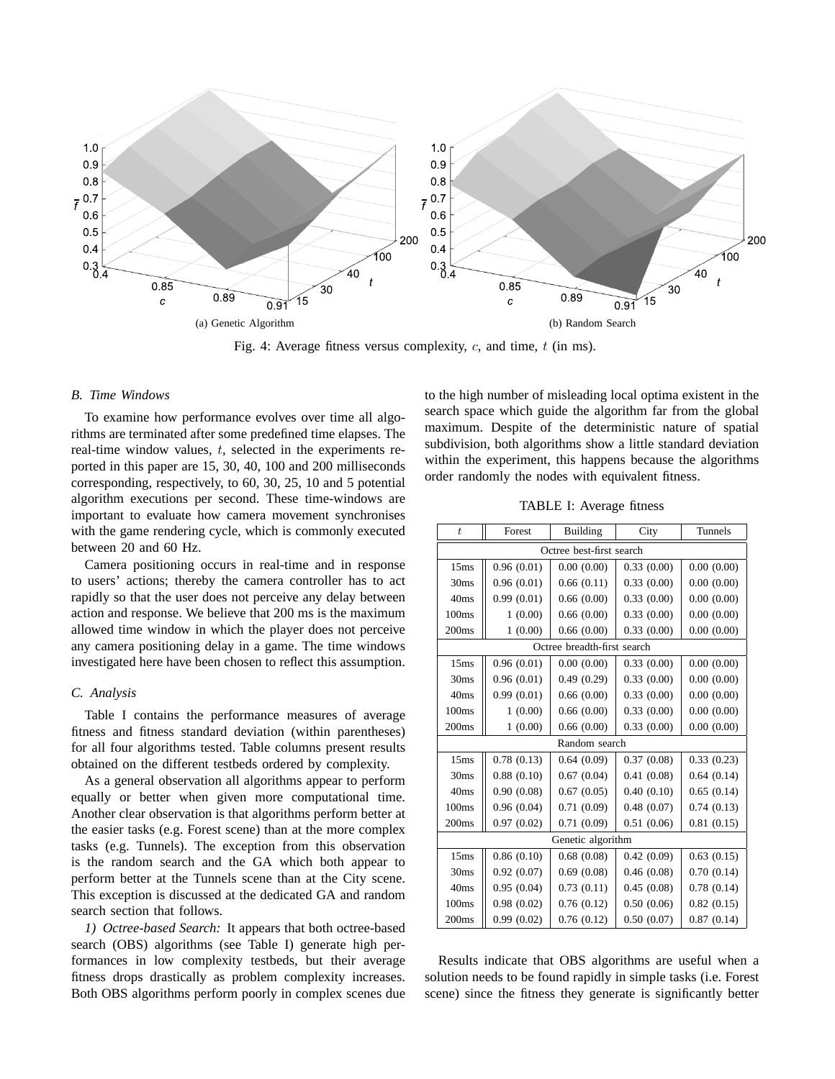

Fig. 4: Average fitness versus complexity,  $c$ , and time,  $t$  (in ms).

## *B. Time Windows*

To examine how performance evolves over time all algorithms are terminated after some predefined time elapses. The real-time window values, t, selected in the experiments reported in this paper are 15, 30, 40, 100 and 200 milliseconds corresponding, respectively, to 60, 30, 25, 10 and 5 potential algorithm executions per second. These time-windows are important to evaluate how camera movement synchronises with the game rendering cycle, which is commonly executed between 20 and 60 Hz.

Camera positioning occurs in real-time and in response to users' actions; thereby the camera controller has to act rapidly so that the user does not perceive any delay between action and response. We believe that 200 ms is the maximum allowed time window in which the player does not perceive any camera positioning delay in a game. The time windows investigated here have been chosen to reflect this assumption.

#### *C. Analysis*

Table I contains the performance measures of average fitness and fitness standard deviation (within parentheses) for all four algorithms tested. Table columns present results obtained on the different testbeds ordered by complexity.

As a general observation all algorithms appear to perform equally or better when given more computational time. Another clear observation is that algorithms perform better at the easier tasks (e.g. Forest scene) than at the more complex tasks (e.g. Tunnels). The exception from this observation is the random search and the GA which both appear to perform better at the Tunnels scene than at the City scene. This exception is discussed at the dedicated GA and random search section that follows.

*1) Octree-based Search:* It appears that both octree-based search (OBS) algorithms (see Table I) generate high performances in low complexity testbeds, but their average fitness drops drastically as problem complexity increases. Both OBS algorithms perform poorly in complex scenes due to the high number of misleading local optima existent in the search space which guide the algorithm far from the global maximum. Despite of the deterministic nature of spatial subdivision, both algorithms show a little standard deviation within the experiment, this happens because the algorithms order randomly the nodes with equivalent fitness.

TABLE I: Average fitness

| $\boldsymbol{t}$            | Forest     | <b>Building</b> | City       | Tunnels    |  |  |
|-----------------------------|------------|-----------------|------------|------------|--|--|
| Octree best-first search    |            |                 |            |            |  |  |
| 15ms                        | 0.96(0.01) | 0.00(0.00)      | 0.33(0.00) | 0.00(0.00) |  |  |
| 30 <sub>ms</sub>            | 0.96(0.01) | 0.66(0.11)      | 0.33(0.00) | 0.00(0.00) |  |  |
| 40ms                        | 0.99(0.01) | 0.66(0.00)      | 0.33(0.00) | 0.00(0.00) |  |  |
| 100 <sub>ms</sub>           | 1(0.00)    | 0.66(0.00)      | 0.33(0.00) | 0.00(0.00) |  |  |
| 200ms                       | 1(0.00)    | 0.66(0.00)      | 0.33(0.00) | 0.00(0.00) |  |  |
| Octree breadth-first search |            |                 |            |            |  |  |
| 15ms                        | 0.96(0.01) | 0.00(0.00)      | 0.33(0.00) | 0.00(0.00) |  |  |
| 30 <sub>ms</sub>            | 0.96(0.01) | 0.49(0.29)      | 0.33(0.00) | 0.00(0.00) |  |  |
| 40ms                        | 0.99(0.01) | 0.66(0.00)      | 0.33(0.00) | 0.00(0.00) |  |  |
| 100ms                       | 1(0.00)    | 0.66(0.00)      | 0.33(0.00) | 0.00(0.00) |  |  |
| 200ms                       | 1(0.00)    | 0.66(0.00)      | 0.33(0.00) | 0.00(0.00) |  |  |
| Random search               |            |                 |            |            |  |  |
| 15 <sub>ms</sub>            | 0.78(0.13) | 0.64(0.09)      | 0.37(0.08) | 0.33(0.23) |  |  |
| 30 <sub>ms</sub>            | 0.88(0.10) | 0.67(0.04)      | 0.41(0.08) | 0.64(0.14) |  |  |
| 40ms                        | 0.90(0.08) | 0.67(0.05)      | 0.40(0.10) | 0.65(0.14) |  |  |
| 100 <sub>ms</sub>           | 0.96(0.04) | 0.71(0.09)      | 0.48(0.07) | 0.74(0.13) |  |  |
| 200ms                       | 0.97(0.02) | 0.71(0.09)      | 0.51(0.06) | 0.81(0.15) |  |  |
| Genetic algorithm           |            |                 |            |            |  |  |
| 15 <sub>ms</sub>            | 0.86(0.10) | 0.68(0.08)      | 0.42(0.09) | 0.63(0.15) |  |  |
| 30 <sub>ms</sub>            | 0.92(0.07) | 0.69(0.08)      | 0.46(0.08) | 0.70(0.14) |  |  |
| 40ms                        | 0.95(0.04) | 0.73(0.11)      | 0.45(0.08) | 0.78(0.14) |  |  |
| 100 <sub>ms</sub>           | 0.98(0.02) | 0.76(0.12)      | 0.50(0.06) | 0.82(0.15) |  |  |
| 200ms                       | 0.99(0.02) | 0.76(0.12)      | 0.50(0.07) | 0.87(0.14) |  |  |

Results indicate that OBS algorithms are useful when a solution needs to be found rapidly in simple tasks (i.e. Forest scene) since the fitness they generate is significantly better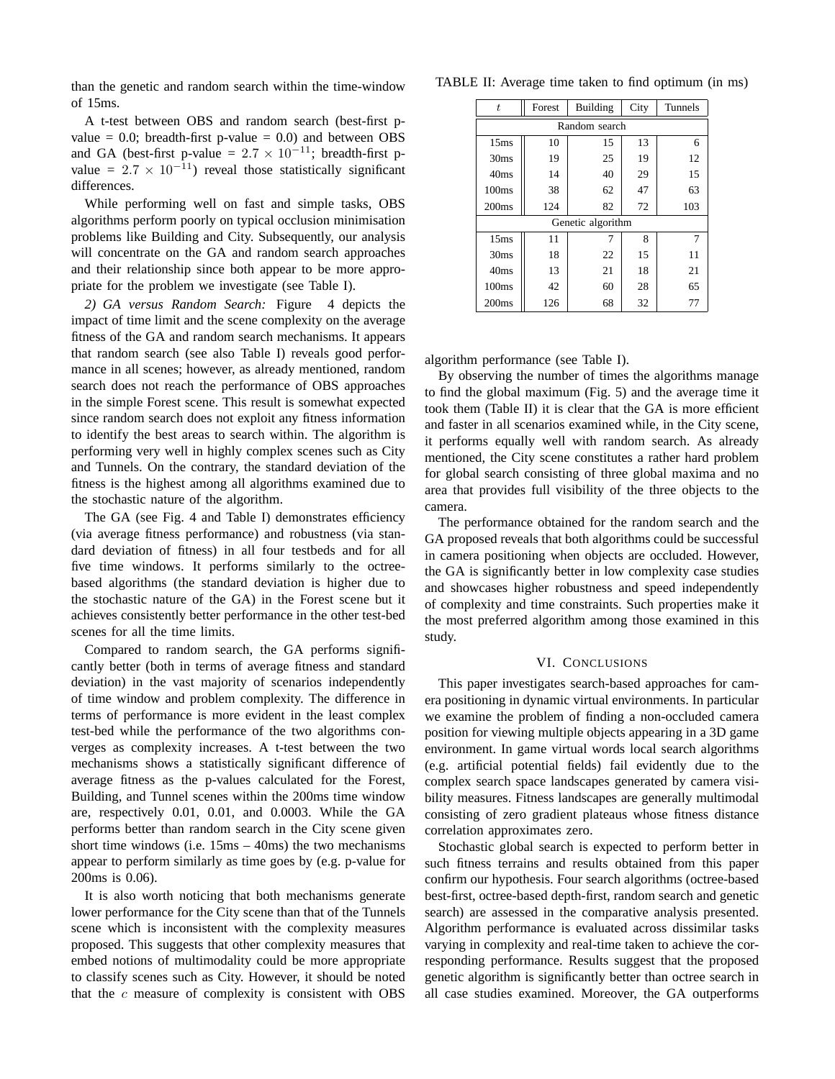than the genetic and random search within the time-window of 15ms.

A t-test between OBS and random search (best-first pvalue =  $0.0$ ; breadth-first p-value =  $0.0$ ) and between OBS and GA (best-first p-value =  $2.7 \times 10^{-11}$ ; breadth-first pvalue =  $2.7 \times 10^{-11}$ ) reveal those statistically significant differences.

While performing well on fast and simple tasks, OBS algorithms perform poorly on typical occlusion minimisation problems like Building and City. Subsequently, our analysis will concentrate on the GA and random search approaches and their relationship since both appear to be more appropriate for the problem we investigate (see Table I).

*2) GA versus Random Search:* Figure 4 depicts the impact of time limit and the scene complexity on the average fitness of the GA and random search mechanisms. It appears that random search (see also Table I) reveals good performance in all scenes; however, as already mentioned, random search does not reach the performance of OBS approaches in the simple Forest scene. This result is somewhat expected since random search does not exploit any fitness information to identify the best areas to search within. The algorithm is performing very well in highly complex scenes such as City and Tunnels. On the contrary, the standard deviation of the fitness is the highest among all algorithms examined due to the stochastic nature of the algorithm.

The GA (see Fig. 4 and Table I) demonstrates efficiency (via average fitness performance) and robustness (via standard deviation of fitness) in all four testbeds and for all five time windows. It performs similarly to the octreebased algorithms (the standard deviation is higher due to the stochastic nature of the GA) in the Forest scene but it achieves consistently better performance in the other test-bed scenes for all the time limits.

Compared to random search, the GA performs significantly better (both in terms of average fitness and standard deviation) in the vast majority of scenarios independently of time window and problem complexity. The difference in terms of performance is more evident in the least complex test-bed while the performance of the two algorithms converges as complexity increases. A t-test between the two mechanisms shows a statistically significant difference of average fitness as the p-values calculated for the Forest, Building, and Tunnel scenes within the 200ms time window are, respectively 0.01, 0.01, and 0.0003. While the GA performs better than random search in the City scene given short time windows (i.e. 15ms – 40ms) the two mechanisms appear to perform similarly as time goes by (e.g. p-value for 200ms is 0.06).

It is also worth noticing that both mechanisms generate lower performance for the City scene than that of the Tunnels scene which is inconsistent with the complexity measures proposed. This suggests that other complexity measures that embed notions of multimodality could be more appropriate to classify scenes such as City. However, it should be noted that the  $c$  measure of complexity is consistent with OBS

TABLE II: Average time taken to find optimum (in ms)

| $\overline{t}$    | Forest | <b>Building</b> | City | Tunnels |  |  |  |
|-------------------|--------|-----------------|------|---------|--|--|--|
| Random search     |        |                 |      |         |  |  |  |
| 15 <sub>ms</sub>  | 10     | 15              | 13   | 6       |  |  |  |
| 30 <sub>ms</sub>  | 19     | 25              | 19   | 12      |  |  |  |
| 40ms              | 14     | 40              | 29   | 15      |  |  |  |
| 100 <sub>ms</sub> | 38     | 62              | 47   | 63      |  |  |  |
| 200 <sub>ms</sub> | 124    | 82              | 72   | 103     |  |  |  |
| Genetic algorithm |        |                 |      |         |  |  |  |
| 15 <sub>ms</sub>  | 11     |                 | 8    | 7       |  |  |  |
| 30 <sub>ms</sub>  | 18     | 22              | 15   | 11      |  |  |  |
| 40ms              | 13     | 21              | 18   | 21      |  |  |  |
| 100 <sub>ms</sub> | 42     | 60              | 28   | 65      |  |  |  |
| 200 <sub>ms</sub> | 126    | 68              | 32   | 77      |  |  |  |

algorithm performance (see Table I).

By observing the number of times the algorithms manage to find the global maximum (Fig. 5) and the average time it took them (Table II) it is clear that the GA is more efficient and faster in all scenarios examined while, in the City scene, it performs equally well with random search. As already mentioned, the City scene constitutes a rather hard problem for global search consisting of three global maxima and no area that provides full visibility of the three objects to the camera.

The performance obtained for the random search and the GA proposed reveals that both algorithms could be successful in camera positioning when objects are occluded. However, the GA is significantly better in low complexity case studies and showcases higher robustness and speed independently of complexity and time constraints. Such properties make it the most preferred algorithm among those examined in this study.

## VI. CONCLUSIONS

This paper investigates search-based approaches for camera positioning in dynamic virtual environments. In particular we examine the problem of finding a non-occluded camera position for viewing multiple objects appearing in a 3D game environment. In game virtual words local search algorithms (e.g. artificial potential fields) fail evidently due to the complex search space landscapes generated by camera visibility measures. Fitness landscapes are generally multimodal consisting of zero gradient plateaus whose fitness distance correlation approximates zero.

Stochastic global search is expected to perform better in such fitness terrains and results obtained from this paper confirm our hypothesis. Four search algorithms (octree-based best-first, octree-based depth-first, random search and genetic search) are assessed in the comparative analysis presented. Algorithm performance is evaluated across dissimilar tasks varying in complexity and real-time taken to achieve the corresponding performance. Results suggest that the proposed genetic algorithm is significantly better than octree search in all case studies examined. Moreover, the GA outperforms